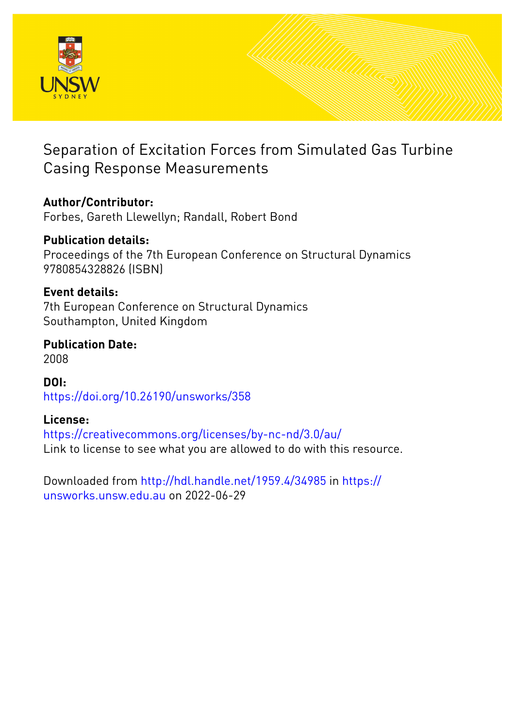

# Separation of Excitation Forces from Simulated Gas Turbine Casing Response Measurements

# **Author/Contributor:**

Forbes, Gareth Llewellyn; Randall, Robert Bond

# **Publication details:**

Proceedings of the 7th European Conference on Structural Dynamics 9780854328826 (ISBN)

## **Event details:**

7th European Conference on Structural Dynamics Southampton, United Kingdom

# **Publication Date:**

2008

**DOI:** [https://doi.org/10.26190/unsworks/358](http://dx.doi.org/https://doi.org/10.26190/unsworks/358)

# **License:**

<https://creativecommons.org/licenses/by-nc-nd/3.0/au/> Link to license to see what you are allowed to do with this resource.

Downloaded from <http://hdl.handle.net/1959.4/34985> in [https://](https://unsworks.unsw.edu.au) [unsworks.unsw.edu.au](https://unsworks.unsw.edu.au) on 2022-06-29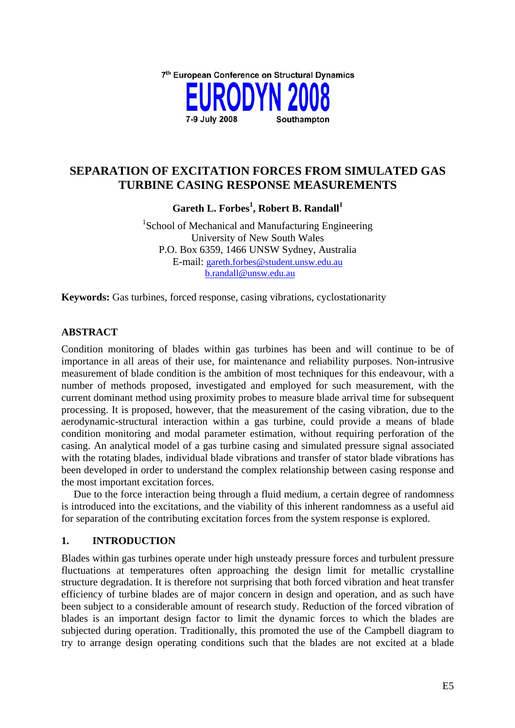

### **SEPARATION OF EXCITATION FORCES FROM SIMULATED GAS TURBINE CASING RESPONSE MEASUREMENTS**

**Gareth L. Forbes<sup>1</sup> , Robert B. Randall<sup>1</sup>**

<sup>1</sup>School of Mechanical and Manufacturing Engineering University of New South Wales P.O. Box 6359, 1466 UNSW Sydney, Australia E-mail: [gareth.forbes@student.unsw.edu.au](mailto:gareth.forbes@student.unsw.edu.au) [b.randall@unsw.edu.au](mailto:b.randall@unsw.edu.au)

**Keywords:** Gas turbines, forced response, casing vibrations, cyclostationarity

### **ABSTRACT**

Condition monitoring of blades within gas turbines has been and will continue to be of importance in all areas of their use, for maintenance and reliability purposes. Non-intrusive measurement of blade condition is the ambition of most techniques for this endeavour, with a number of methods proposed, investigated and employed for such measurement, with the current dominant method using proximity probes to measure blade arrival time for subsequent processing. It is proposed, however, that the measurement of the casing vibration, due to the aerodynamic-structural interaction within a gas turbine, could provide a means of blade condition monitoring and modal parameter estimation, without requiring perforation of the casing. An analytical model of a gas turbine casing and simulated pressure signal associated with the rotating blades, individual blade vibrations and transfer of stator blade vibrations has been developed in order to understand the complex relationship between casing response and the most important excitation forces.

Due to the force interaction being through a fluid medium, a certain degree of randomness is introduced into the excitations, and the viability of this inherent randomness as a useful aid for separation of the contributing excitation forces from the system response is explored.

### **1. INTRODUCTION**

Blades within gas turbines operate under high unsteady pressure forces and turbulent pressure fluctuations at temperatures often approaching the design limit for metallic crystalline structure degradation. It is therefore not surprising that both forced vibration and heat transfer efficiency of turbine blades are of major concern in design and operation, and as such have been subject to a considerable amount of research study. Reduction of the forced vibration of blades is an important design factor to limit the dynamic forces to which the blades are subjected during operation. Traditionally, this promoted the use of the Campbell diagram to try to arrange design operating conditions such that the blades are not excited at a blade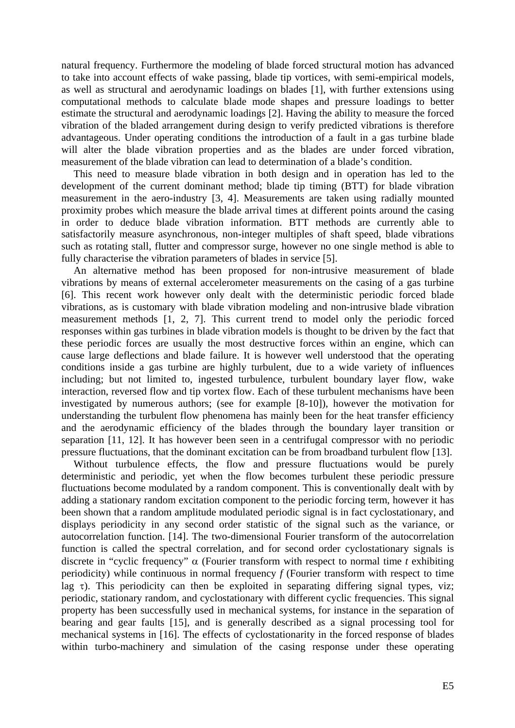natural frequency. Furthermore the modeling of blade forced structural motion has advanced to take into account effects of wake passing, blade tip vortices, with semi-empirical models, as well as structural and aerodynamic loadings on blades [1], with further extensions using computational methods to calculate blade mode shapes and pressure loadings to better estimate the structural and aerodynamic loadings [2]. Having the ability to measure the forced vibration of the bladed arrangement during design to verify predicted vibrations is therefore advantageous. Under operating conditions the introduction of a fault in a gas turbine blade will alter the blade vibration properties and as the blades are under forced vibration. measurement of the blade vibration can lead to determination of a blade's condition.

This need to measure blade vibration in both design and in operation has led to the development of the current dominant method; blade tip timing (BTT) for blade vibration measurement in the aero-industry [3, 4]. Measurements are taken using radially mounted proximity probes which measure the blade arrival times at different points around the casing in order to deduce blade vibration information. BTT methods are currently able to satisfactorily measure asynchronous, non-integer multiples of shaft speed, blade vibrations such as rotating stall, flutter and compressor surge, however no one single method is able to fully characterise the vibration parameters of blades in service [5].

An alternative method has been proposed for non-intrusive measurement of blade vibrations by means of external accelerometer measurements on the casing of a gas turbine [6]. This recent work however only dealt with the deterministic periodic forced blade vibrations, as is customary with blade vibration modeling and non-intrusive blade vibration measurement methods [1, 2, 7]. This current trend to model only the periodic forced responses within gas turbines in blade vibration models is thought to be driven by the fact that these periodic forces are usually the most destructive forces within an engine, which can cause large deflections and blade failure. It is however well understood that the operating conditions inside a gas turbine are highly turbulent, due to a wide variety of influences including; but not limited to, ingested turbulence, turbulent boundary layer flow, wake interaction, reversed flow and tip vortex flow. Each of these turbulent mechanisms have been investigated by numerous authors; (see for example [8-10]), however the motivation for understanding the turbulent flow phenomena has mainly been for the heat transfer efficiency and the aerodynamic efficiency of the blades through the boundary layer transition or separation [11, 12]. It has however been seen in a centrifugal compressor with no periodic pressure fluctuations, that the dominant excitation can be from broadband turbulent flow [13].

Without turbulence effects, the flow and pressure fluctuations would be purely deterministic and periodic, yet when the flow becomes turbulent these periodic pressure fluctuations become modulated by a random component. This is conventionally dealt with by adding a stationary random excitation component to the periodic forcing term, however it has been shown that a random amplitude modulated periodic signal is in fact cyclostationary, and displays periodicity in any second order statistic of the signal such as the variance, or autocorrelation function. [14]. The two-dimensional Fourier transform of the autocorrelation function is called the spectral correlation, and for second order cyclostationary signals is discrete in "cyclic frequency" α (Fourier transform with respect to normal time *t* exhibiting periodicity) while continuous in normal frequency *f* (Fourier transform with respect to time lag  $\tau$ ). This periodicity can then be exploited in separating differing signal types, viz; periodic, stationary random, and cyclostationary with different cyclic frequencies. This signal property has been successfully used in mechanical systems, for instance in the separation of bearing and gear faults [15], and is generally described as a signal processing tool for mechanical systems in [16]. The effects of cyclostationarity in the forced response of blades within turbo-machinery and simulation of the casing response under these operating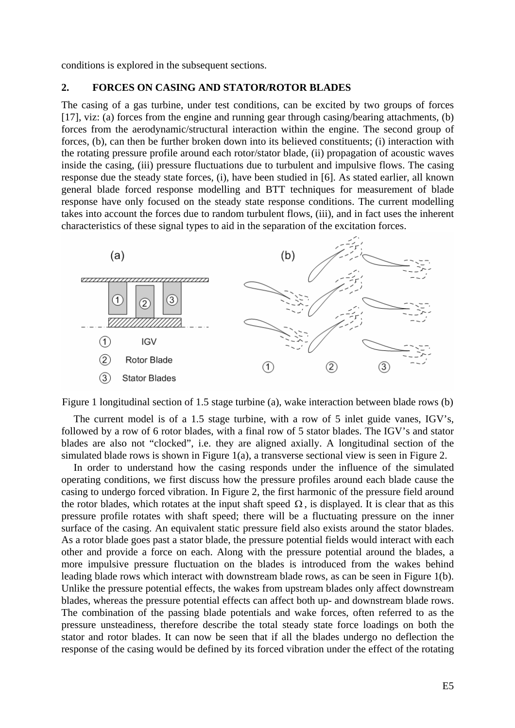conditions is explored in the subsequent sections.

#### **2. FORCES ON CASING AND STATOR/ROTOR BLADES**

The casing of a gas turbine, under test conditions, can be excited by two groups of forces [17], viz: (a) forces from the engine and running gear through casing/bearing attachments, (b) forces from the aerodynamic/structural interaction within the engine. The second group of forces, (b), can then be further broken down into its believed constituents; (i) interaction with the rotating pressure profile around each rotor/stator blade, (ii) propagation of acoustic waves inside the casing, (iii) pressure fluctuations due to turbulent and impulsive flows. The casing response due the steady state forces, (i), have been studied in [6]. As stated earlier, all known general blade forced response modelling and BTT techniques for measurement of blade response have only focused on the steady state response conditions. The current modelling takes into account the forces due to random turbulent flows, (iii), and in fact uses the inherent characteristics of these signal types to aid in the separation of the excitation forces.



<span id="page-3-0"></span>Figure 1 longitudinal section of 1.5 stage turbine (a), wake interaction between blade rows (b)

The current model is of a 1.5 stage turbine, with a row of 5 inlet guide vanes, IGV's, followed by a row of 6 rotor blades, with a final row of 5 stator blades. The IGV's and stator blades are also not "clocked", i.e. they are aligned axially. A longitudinal section of the simulated blade rows is shown in [Figure 1](#page-3-0)(a), a transverse sectional view is seen in [Figure 2.](#page-4-0)

In order to understand how the casing responds under the influence of the simulated operating conditions, we first discuss how the pressure profiles around each blade cause the casing to undergo forced vibration. In [Figure 2](#page-4-0), the first harmonic of the pressure field around the rotor blades, which rotates at the input shaft speed  $\Omega$ , is displayed. It is clear that as this pressure profile rotates with shaft speed; there will be a fluctuating pressure on the inner surface of the casing. An equivalent static pressure field also exists around the stator blades. As a rotor blade goes past a stator blade, the pressure potential fields would interact with each other and provide a force on each. Along with the pressure potential around the blades, a more impulsive pressure fluctuation on the blades is introduced from the wakes behind leading blade rows which interact with downstream blade rows, as can be seen in [Figure 1](#page-3-0)(b). Unlike the pressure potential effects, the wakes from upstream blades only affect downstream blades, whereas the pressure potential effects can affect both up- and downstream blade rows. The combination of the passing blade potentials and wake forces, often referred to as the pressure unsteadiness, therefore describe the total steady state force loadings on both the stator and rotor blades. It can now be seen that if all the blades undergo no deflection the response of the casing would be defined by its forced vibration under the effect of the rotating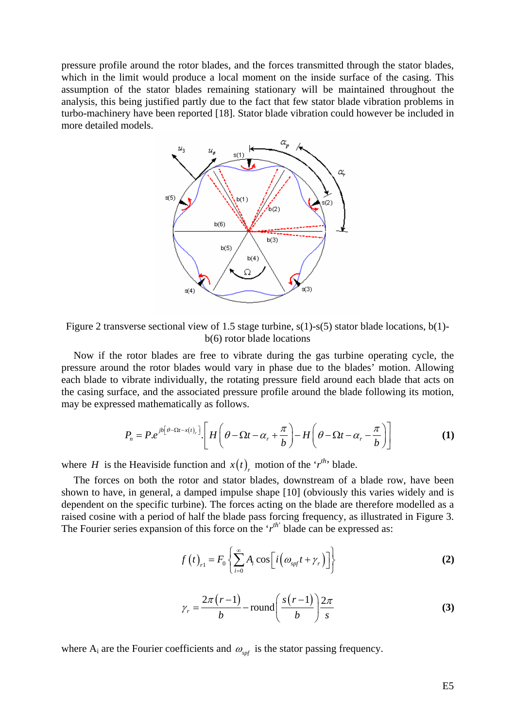pressure profile around the rotor blades, and the forces transmitted through the stator blades, which in the limit would produce a local moment on the inside surface of the casing. This assumption of the stator blades remaining stationary will be maintained throughout the analysis, this being justified partly due to the fact that few stator blade vibration problems in turbo-machinery have been reported [18]. Stator blade vibration could however be included in more detailed models.



<span id="page-4-0"></span>Figure 2 transverse sectional view of 1.5 stage turbine, s(1)-s(5) stator blade locations, b(1) b(6) rotor blade locations

Now if the rotor blades are free to vibrate during the gas turbine operating cycle, the pressure around the rotor blades would vary in phase due to the blades' motion. Allowing each blade to vibrate individually, the rotating pressure field around each blade that acts on the casing surface, and the associated pressure profile around the blade following its motion, may be expressed mathematically as follows.

$$
P_n = P.e^{jb[\theta - \Omega t - x(t)]} \cdot \left[ H\left(\theta - \Omega t - \alpha_r + \frac{\pi}{b}\right) - H\left(\theta - \Omega t - \alpha_r - \frac{\pi}{b}\right) \right]
$$
(1)

<span id="page-4-1"></span>where *H* is the Heaviside function and  $x(t)$ <sub>*r*</sub> motion of the '*r*<sup>th</sup>' blade.

The forces on both the rotor and stator blades, downstream of a blade row, have been shown to have, in general, a damped impulse shape [10] (obviously this varies widely and is dependent on the specific turbine). The forces acting on the blade are therefore modelled as a raised cosine with a period of half the blade pass forcing frequency, as illustrated in [Figure 3](#page-5-0). The Fourier series expansion of this force on the  $'r^{th}$  blade can be expressed as:

$$
f(t)_{r1} = F_0 \left\{ \sum_{i=0}^{\infty} A_i \cos \left[ i \left( \omega_{\text{spf}} t + \gamma_r \right) \right] \right\}
$$
 (2)

$$
\gamma_r = \frac{2\pi (r-1)}{b} - \text{round}\left(\frac{s(r-1)}{b}\right) \frac{2\pi}{s} \tag{3}
$$

where  $A_i$  are the Fourier coefficients and  $\omega_{\rm mf}$  is the stator passing frequency.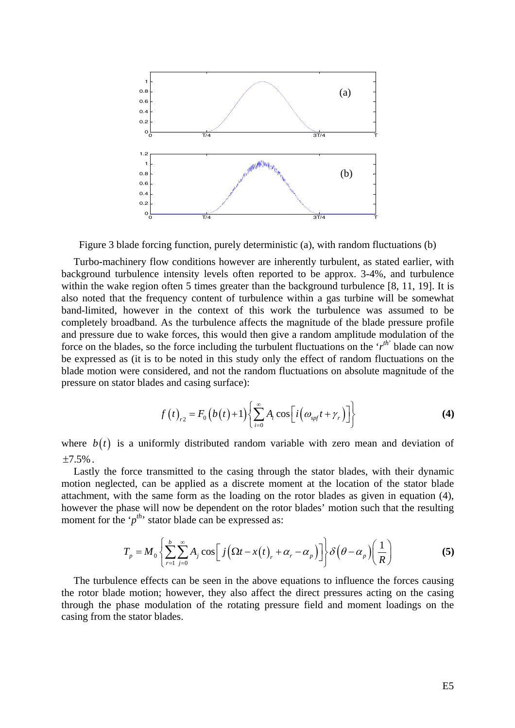

Figure 3 blade forcing function, purely deterministic (a), with random fluctuations (b)

<span id="page-5-0"></span>Turbo-machinery flow conditions however are inherently turbulent, as stated earlier, with background turbulence intensity levels often reported to be approx. 3-4%, and turbulence within the wake region often 5 times greater than the background turbulence [8, 11, 19]. It is also noted that the frequency content of turbulence within a gas turbine will be somewhat band-limited, however in the context of this work the turbulence was assumed to be completely broadband. As the turbulence affects the magnitude of the blade pressure profile and pressure due to wake forces, this would then give a random amplitude modulation of the force on the blades, so the force including the turbulent fluctuations on the ' $r^{th}$ ' blade can now be expressed as (it is to be noted in this study only the effect of random fluctuations on the blade motion were considered, and not the random fluctuations on absolute magnitude of the pressure on stator blades and casing surface):

$$
f(t)_{r2} = F_0(b(t)+1)\left\{\sum_{i=0}^{\infty} A_i \cos\left[i\left(\omega_{\text{spf}}t + \gamma_r\right)\right]\right\}
$$
 (4)

<span id="page-5-1"></span>where  $b(t)$  is a uniformly distributed random variable with zero mean and deviation of  $\pm 7.5\%$  .

Lastly the force transmitted to the casing through the stator blades, with their dynamic motion neglected, can be applied as a discrete moment at the location of the stator blade attachment, with the same form as the loading on the rotor blades as given in equation [\(4\)](#page-5-1), however the phase will now be dependent on the rotor blades' motion such that the resulting moment for the ' $p^{th}$ ' stator blade can be expressed as:

$$
T_p = M_0 \left\{ \sum_{r=1}^{b} \sum_{j=0}^{\infty} A_j \cos \left[ j \left( \Omega t - x(t) \right) + \alpha_r - \alpha_p \right) \right\} \delta \left( \theta - \alpha_p \right) \left( \frac{1}{R} \right) \tag{5}
$$

<span id="page-5-2"></span>The turbulence effects can be seen in the above equations to influence the forces causing the rotor blade motion; however, they also affect the direct pressures acting on the casing through the phase modulation of the rotating pressure field and moment loadings on the casing from the stator blades.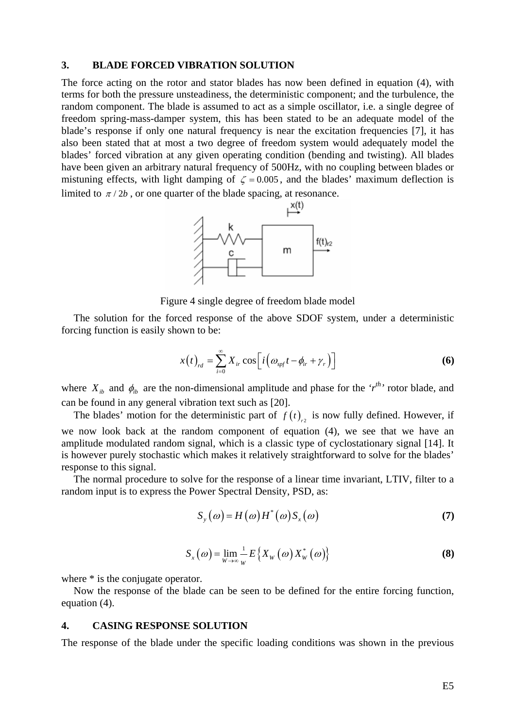#### **3. BLADE FORCED VIBRATION SOLUTION**

The force acting on the rotor and stator blades has now been defined in equation [\(4\),](#page-5-1) with terms for both the pressure unsteadiness, the deterministic component; and the turbulence, the random component. The blade is assumed to act as a simple oscillator, i.e. a single degree of freedom spring-mass-damper system, this has been stated to be an adequate model of the blade's response if only one natural frequency is near the excitation frequencies [7], it has also been stated that at most a two degree of freedom system would adequately model the blades' forced vibration at any given operating condition (bending and twisting). All blades have been given an arbitrary natural frequency of 500Hz, with no coupling between blades or mistuning effects, with light damping of  $\zeta = 0.005$ , and the blades' maximum deflection is limited to  $\pi/2b$ , or one quarter of the blade spacing, at resonance.



Figure 4 single degree of freedom blade model

The solution for the forced response of the above SDOF system, under a deterministic forcing function is easily shown to be:

$$
x(t)_{rd} = \sum_{i=0}^{\infty} X_{ir} \cos\left[i\left(\omega_{spf}t - \phi_{ir} + \gamma_r\right)\right]
$$
 (6)

where  $X_{ib}$  and  $\phi_{ib}$  are the non-dimensional amplitude and phase for the ' $r^{th}$ ' rotor blade, and can be found in any general vibration text such as [20].

The blades' motion for the deterministic part of  $f(t)$ , is now fully defined. However, if we now look back at the random component of equation [\(4\)](#page-5-1), we see that we have an amplitude modulated random signal, which is a classic type of cyclostationary signal [14]. It is however purely stochastic which makes it relatively straightforward to solve for the blades' response to this signal.

<span id="page-6-0"></span>The normal procedure to solve for the response of a linear time invariant, LTIV, filter to a random input is to express the Power Spectral Density, PSD, as:

$$
S_{y}(\omega) = H(\omega)H^{*}(\omega)S_{x}(\omega)
$$
\n(7)

$$
S_{x}(\omega) = \lim_{W \to \infty} \frac{1}{W} E\left\{ X_{W}(\omega) X_{W}^{*}(\omega) \right\}
$$
 (8)

where  $*$  is the conjugate operator.

Now the response of the blade can be seen to be defined for the entire forcing function, equation [\(4\)](#page-5-1).

#### **4. CASING RESPONSE SOLUTION**

The response of the blade under the specific loading conditions was shown in the previous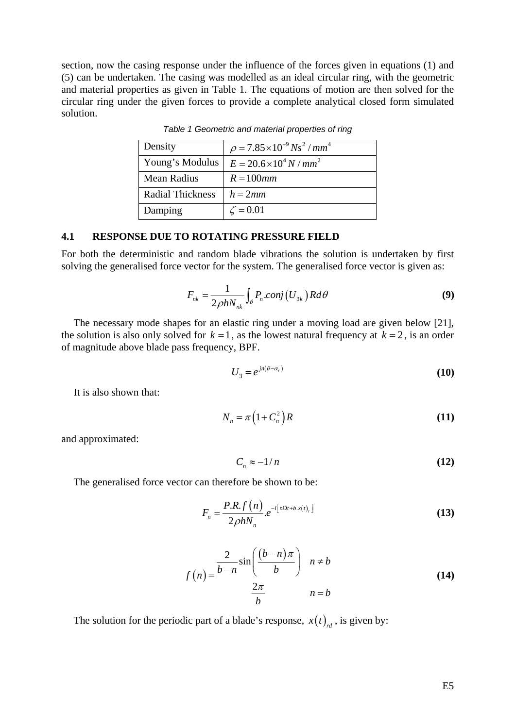<span id="page-7-0"></span>section, now the casing response under the influence of the forces given in equations [\(1\)](#page-4-1) and [\(5\)](#page-5-2) can be undertaken. The casing was modelled as an ideal circular ring, with the geometric and material properties as given in [Table 1.](#page-7-0) The equations of motion are then solved for the circular ring under the given forces to provide a complete analytical closed form simulated solution.

| Density                 | $\rho = 7.85 \times 10^{-9}$ Ns <sup>2</sup> / mm <sup>4</sup> |
|-------------------------|----------------------------------------------------------------|
| Young's Modulus         | $E = 20.6 \times 10^4 N / mm^2$                                |
| Mean Radius             | $R = 100$ mm                                                   |
| <b>Radial Thickness</b> | $h = 2mm$                                                      |
| Damping                 | $\zeta = 0.01$                                                 |

*Table 1 Geometric and material properties of ring* 

#### **4.1 RESPONSE DUE TO ROTATING PRESSURE FIELD**

For both the deterministic and random blade vibrations the solution is undertaken by first solving the generalised force vector for the system. The generalised force vector is given as:

$$
F_{nk} = \frac{1}{2\rho h N_{nk}} \int_{\theta} P_n \cdot \text{conj}\left(U_{3k}\right) R d\theta \tag{9}
$$

The necessary mode shapes for an elastic ring under a moving load are given below [21], the solution is also only solved for  $k = 1$ , as the lowest natural frequency at  $k = 2$ , is an order of magnitude above blade pass frequency, BPF.

$$
U_3 = e^{jn(\theta - \alpha_r)}\tag{10}
$$

It is also shown that:

$$
N_n = \pi \left( 1 + C_n^2 \right) R \tag{11}
$$

and approximated:

$$
C_n \approx -1/n \tag{12}
$$

The generalised force vector can therefore be shown to be:

$$
F_n = \frac{P.R.f(n)}{2\rho h N_n} e^{-i\left[n\Omega t + b.x(t)_r\right]}
$$
\n(13)

$$
f(n) = \frac{\frac{2}{b-n} \sin\left(\frac{(b-n)\pi}{b}\right)}{\frac{2\pi}{b}} \quad n \neq b
$$
 (14)

The solution for the periodic part of a blade's response,  $x(t)$ <sub>rd</sub>, is given by: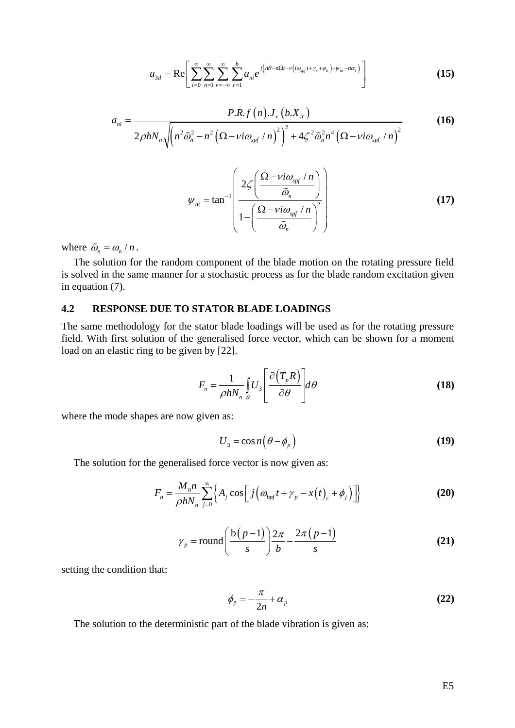$$
u_{3d} = \text{Re}\left[\sum_{i=0}^{\infty}\sum_{n=1}^{\infty}\sum_{\nu=-\infty}^{\infty}\sum_{r=1}^{b}a_{ni}e^{j\left(n\theta-n\Omega t-\nu\left(i\omega_{spf}t+\gamma_r+\varphi_{ir}\right)-\psi_{ni}-n\alpha_r\right)}\right]
$$
(15)

$$
a_{ni} = \frac{P.R.f(n) J_{\nu} (b.X_{ir})}{2\rho h N_n \sqrt{(n^2 \tilde{\omega}_n^2 - n^2 (\Omega - \nu i \omega_{\text{spf}} / n)^2)^2 + 4\zeta^2 \tilde{\omega}_n^2 n^4 (\Omega - \nu i \omega_{\text{spf}} / n)^2}}
$$
(16)

$$
\psi_{ni} = \tan^{-1} \left( \frac{2\zeta \left( \frac{\Omega - vi\omega_{\text{spf}}/n}{\tilde{\omega}_n} \right)}{1 - \left( \frac{\Omega - vi\omega_{\text{spf}}/n}{\tilde{\omega}_n} \right)^2} \right)
$$
(17)

where  $\tilde{\omega}_n = \omega_n / n$ .

The solution for the random component of the blade motion on the rotating pressure field is solved in the same manner for a stochastic process as for the blade random excitation given in equation [\(7\).](#page-6-0)

### **4.2 RESPONSE DUE TO STATOR BLADE LOADINGS**

The same methodology for the stator blade loadings will be used as for the rotating pressure field. With first solution of the generalised force vector, which can be shown for a moment load on an elastic ring to be given by [22].

$$
F_n = \frac{1}{\rho h N_n} \int_{\theta} U_3 \left[ \frac{\partial (T_p R)}{\partial \theta} \right] d\theta \tag{18}
$$

where the mode shapes are now given as:

$$
U_3 = \cos n \left( \theta - \phi_p \right) \tag{19}
$$

<span id="page-8-0"></span>The solution for the generalised force vector is now given as:

$$
F_n = \frac{M_0 n}{\rho h N_n} \sum_{j=0}^{\infty} \left\{ A_j \cos \left[ j \left( \omega_{b p f} t + \gamma_p - x(t) \right) + \phi_j \right) \right\} \tag{20}
$$

$$
\gamma_p = \text{round}\left(\frac{b(p-1)}{s}\right)\frac{2\pi}{b} - \frac{2\pi(p-1)}{s} \tag{21}
$$

setting the condition that:

$$
\phi_p = -\frac{\pi}{2n} + \alpha_p \tag{22}
$$

The solution to the deterministic part of the blade vibration is given as: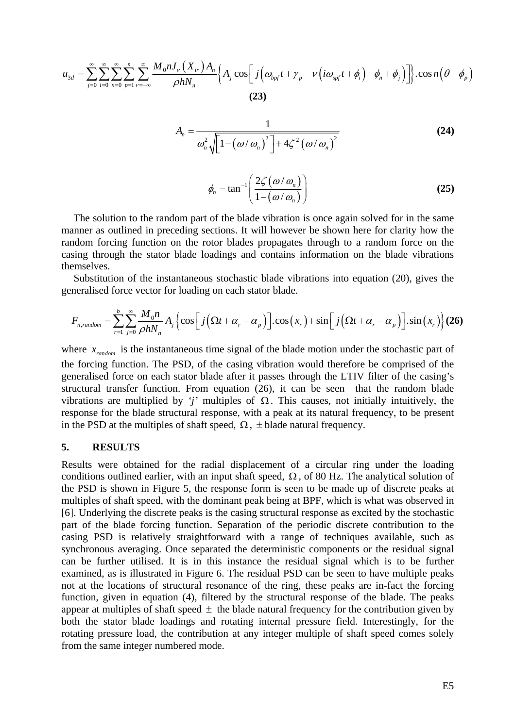$$
u_{3d} = \sum_{j=0}^{\infty} \sum_{i=0}^{\infty} \sum_{n=0}^{\infty} \sum_{p=1}^{\infty} \sum_{\nu=-\infty}^{\infty} \frac{M_0 n J_v(X_{ir}) A_n}{\rho h N_n} \Big\{ A_j \cos \Big[ j \Big( \omega_{bpf} t + \gamma_p - \nu \Big( i \omega_{spf} t + \phi_i \Big) - \phi_n + \phi_j \Big) \Big] \Big\} \cdot \cos n \Big( \theta - \phi_p \Big)
$$
\n(23)

$$
A_n = \frac{1}{\omega_n^2 \sqrt{\left[1 - \left(\frac{\omega}{\omega_n}\right)^2\right] + 4\zeta^2 \left(\frac{\omega}{\omega_n}\right)^2}}
$$
(24)  

$$
\phi_n = \tan^{-1} \left(\frac{2\zeta(\omega/\omega_n)}{1 - \left(\frac{\omega}{\omega_n}\right)}\right)
$$

The solution to the random part of the blade vibration is once again solved for in the same manner as outlined in preceding sections. It will however be shown here for clarity how the random forcing function on the rotor blades propagates through to a random force on the casing through the stator blade loadings and contains information on the blade vibrations themselves.

<span id="page-9-0"></span>Substitution of the instantaneous stochastic blade vibrations into equation [\(20\),](#page-8-0) gives the generalised force vector for loading on each stator blade.

$$
F_{n, random} = \sum_{r=1}^{b} \sum_{j=0}^{\infty} \frac{M_0 n}{\rho h N_n} A_j \left\{ \cos \left[ j \left( \Omega t + \alpha_r - \alpha_p \right) \right] \cdot \cos \left( x_r \right) + \sin \left[ j \left( \Omega t + \alpha_r - \alpha_p \right) \right] \cdot \sin \left( x_r \right) \right\} (26)
$$

where  $x_{random}$  is the instantaneous time signal of the blade motion under the stochastic part of the forcing function. The PSD, of the casing vibration would therefore be comprised of the generalised force on each stator blade after it passes through the LTIV filter of the casing's structural transfer function. From equation [\(26\)](#page-9-0), it can be seen that the random blade vibrations are multiplied by *'j'* multiples of  $Ω$ . This causes, not initially intuitively, the response for the blade structural response, with a peak at its natural frequency, to be present in the PSD at the multiples of shaft speed,  $\Omega$ ,  $\pm$  blade natural frequency.

#### **5. RESULTS**

Results were obtained for the radial displacement of a circular ring under the loading conditions outlined earlier, with an input shaft speed,  $\Omega$ , of 80 Hz. The analytical solution of the PSD is shown in [Figure 5,](#page-10-0) the response form is seen to be made up of discrete peaks at multiples of shaft speed, with the dominant peak being at BPF, which is what was observed in [6]. Underlying the discrete peaks is the casing structural response as excited by the stochastic part of the blade forcing function. Separation of the periodic discrete contribution to the casing PSD is relatively straightforward with a range of techniques available, such as synchronous averaging. Once separated the deterministic components or the residual signal can be further utilised. It is in this instance the residual signal which is to be further examined, as is illustrated in [Figure 6](#page-10-1). The residual PSD can be seen to have multiple peaks not at the locations of structural resonance of the ring, these peaks are in-fact the forcing function, given in equation [\(4\),](#page-5-1) filtered by the structural response of the blade. The peaks appear at multiples of shaft speed  $\pm$  the blade natural frequency for the contribution given by both the stator blade loadings and rotating internal pressure field. Interestingly, for the rotating pressure load, the contribution at any integer multiple of shaft speed comes solely from the same integer numbered mode.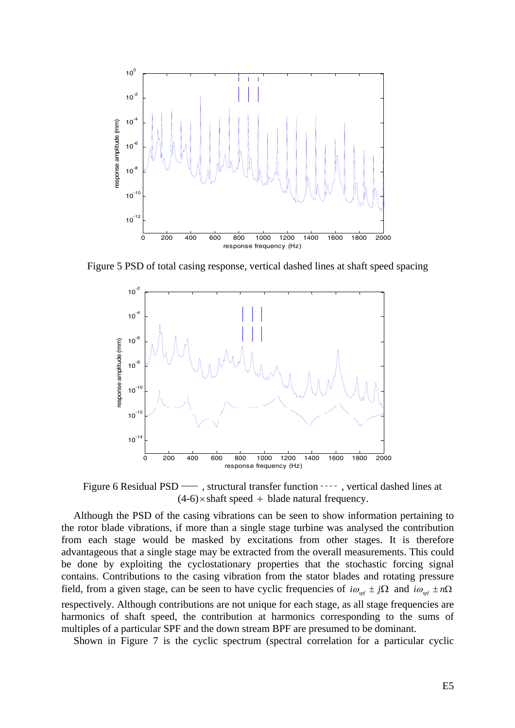

<span id="page-10-0"></span>Figure 5 PSD of total casing response, vertical dashed lines at shaft speed spacing



Figure 6 Residual PSD — , structural transfer function ----, vertical dashed lines at  $(4-6)$  × shaft speed + blade natural frequency.

<span id="page-10-1"></span>Although the PSD of the casing vibrations can be seen to show information pertaining to the rotor blade vibrations, if more than a single stage turbine was analysed the contribution from each stage would be masked by excitations from other stages. It is therefore advantageous that a single stage may be extracted from the overall measurements. This could be done by exploiting the cyclostationary properties that the stochastic forcing signal contains. Contributions to the casing vibration from the stator blades and rotating pressure field, from a given stage, can be seen to have cyclic frequencies of  $i\omega_{spf} \pm j\Omega$  and  $i\omega_{spf} \pm n\Omega$ respectively. Although contributions are not unique for each stage, as all stage frequencies are harmonics of shaft speed, the contribution at harmonics corresponding to the sums of multiples of a particular SPF and the down stream BPF are presumed to be dominant.

Shown in [Figure 7](#page-11-0) is the cyclic spectrum (spectral correlation for a particular cyclic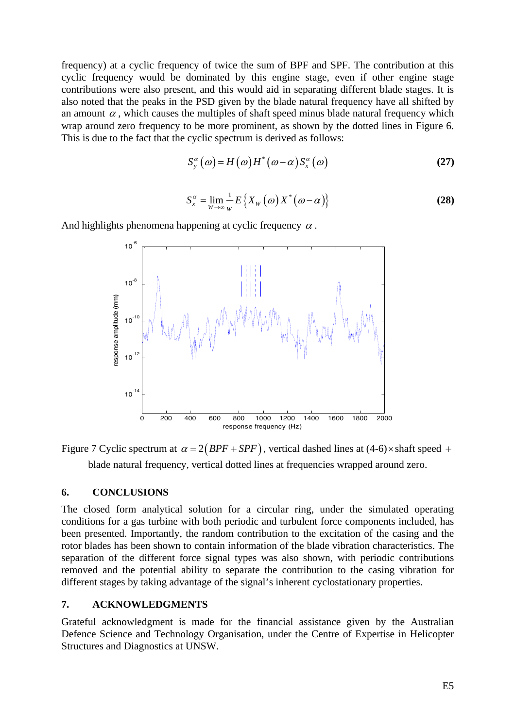frequency) at a cyclic frequency of twice the sum of BPF and SPF. The contribution at this cyclic frequency would be dominated by this engine stage, even if other engine stage contributions were also present, and this would aid in separating different blade stages. It is also noted that the peaks in the PSD given by the blade natural frequency have all shifted by an amount  $\alpha$ , which causes the multiples of shaft speed minus blade natural frequency which wrap around zero frequency to be more prominent, as shown by the dotted lines in [Figure 6](#page-10-1). This is due to the fact that the cyclic spectrum is derived as follows:

$$
S_{y}^{\alpha}(\omega) = H(\omega)H^{*}(\omega - \alpha)S_{x}^{\alpha}(\omega)
$$
 (27)

$$
S_x^{\alpha} = \lim_{W \to \infty} \frac{1}{W} E\left\{ X_W(\omega) X^*(\omega - \alpha) \right\}
$$
 (28)

And highlights phenomena happening at cyclic frequency  $\alpha$ .



<span id="page-11-0"></span>Figure 7 Cyclic spectrum at  $\alpha = 2(BPF + SPF)$ , vertical dashed lines at (4-6)×shaft speed + blade natural frequency, vertical dotted lines at frequencies wrapped around zero.

#### **6. CONCLUSIONS**

The closed form analytical solution for a circular ring, under the simulated operating conditions for a gas turbine with both periodic and turbulent force components included, has been presented. Importantly, the random contribution to the excitation of the casing and the rotor blades has been shown to contain information of the blade vibration characteristics. The separation of the different force signal types was also shown, with periodic contributions removed and the potential ability to separate the contribution to the casing vibration for different stages by taking advantage of the signal's inherent cyclostationary properties.

### **7. ACKNOWLEDGMENTS**

Grateful acknowledgment is made for the financial assistance given by the Australian Defence Science and Technology Organisation, under the Centre of Expertise in Helicopter Structures and Diagnostics at UNSW.